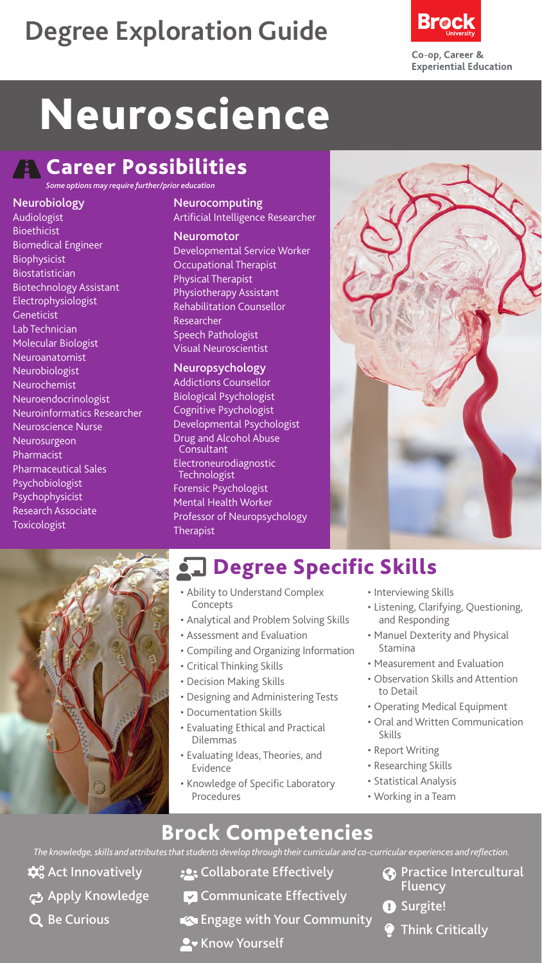## **Degree Exploration Guide**



# **Neuroscience**

### **A** Career Possibilities

*Some options may require further/prior education*

#### Neurobiology

Audiologist Bioethicist Biomedical Engineer Biophysicist Biostatistician Biotechnology Assistant Electrophysiologist Geneticist Lab Technician Molecular Biologist Neuroanatomist Neurobiologist Neurochemist Neuroendocrinologist Neuroinformatics Researcher Neuroscience Nurse Neurosurgeon Pharmacist Pharmaceutical Sales Psychobiologist Psychophysicist Research Associate Toxicologist

#### Neurocomputing

Artificial Intelligence Researcher

#### Neuromotor

Developmental Service Worker Occupational Therapist Physical Therapist Physiotherapy Assistant Rehabilitation Counsellor Researcher Speech Pathologist Visual Neuroscientist

#### Neuropsychology

Addictions Counsellor Biological Psychologist Cognitive Psychologist Developmental Psychologist Drug and Alcohol Abuse **Consultant** Electroneurodiagnostic Technologist Forensic Psychologist Mental Health Worker Professor of Neuropsychology **Therapist** 





#### **Q.** Degree Specific Skills

- Ability to Understand Complex Concepts
- Analytical and Problem Solving Skills
- Assessment and Evaluation
- Compiling and Organizing Information
- Critical Thinking Skills
- Decision Making Skills
- Designing and Administering Tests
- Documentation Skills
- Evaluating Ethical and Practical Dilemmas
- Evaluating Ideas, Theories, and Evidence
- Knowledge of Specific Laboratory Procedures
- Interviewing Skills
- Listening, Clarifying, Questioning, and Responding
- Manuel Dexterity and Physical Stamina
- Measurement and Evaluation
- Observation Skills and Attention to Detail
- Operating Medical Equipment
- Oral and Written Communication Skills
- Report Writing
- Researching Skills
- Statistical Analysis
- Working in a Team

#### Brock Competencies

*The knowledge, skills and attributes that students develop through their curricular and co-curricular experiences and reflection.*

- $\mathbf{\hat{\Omega}}^{\circ}_{\mathbf{o}}$  Act Innovatively
- **Apply Knowledge**
- Q Be Curious
- **:** Collaborate Effectively
- $\triangledown$  Communicate Effectively
- Engage with Your Community
- **A** Know Yourself
- **Practice Intercultural** Fluency
- **O** Surgite!
	- Think Critically